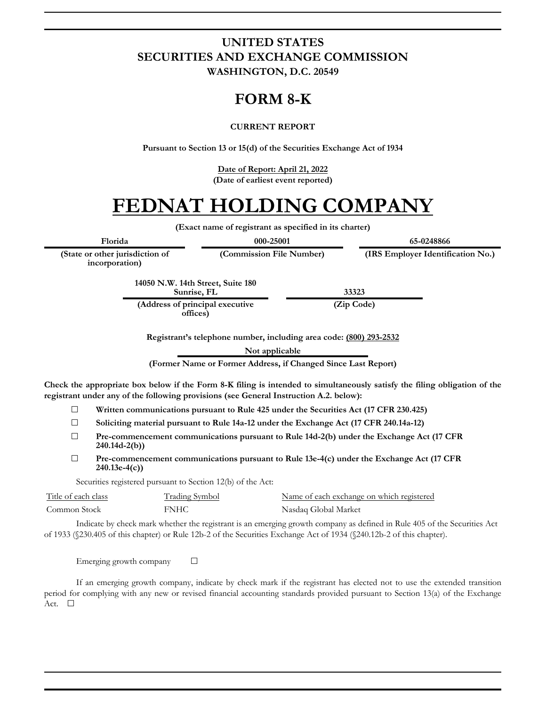### **UNITED STATES SECURITIES AND EXCHANGE COMMISSION WASHINGTON, D.C. 20549**

## **FORM 8-K**

#### **CURRENT REPORT**

**Pursuant to Section 13 or 15(d) of the Securities Exchange Act of 1934**

**Date of Report: April 21, 2022 (Date of earliest event reported)**

# **FEDNAT HOLDING COMPANY**

**(Exact name of registrant as specified in its charter)**

**(Commission File Number) (IRS Employer Identification No.)**

**Florida 000-25001 65-0248866**

**(State or other jurisdiction of incorporation)**

> **14050 N.W. 14th Street, Suite 180 Sunrise, FL 33323**

**(Address of principal executive offices)**

**(Zip Code)**

**Registrant's telephone number, including area code: (800) 293-2532**

**Not applicable**

**(Former Name or Former Address, if Changed Since Last Report)**

**Check the appropriate box below if the Form 8-K filing is intended to simultaneously satisfy the filing obligation of the registrant under any of the following provisions (see General Instruction A.2. below):**

- ☐ **Written communications pursuant to Rule 425 under the Securities Act (17 CFR 230.425)**
- ☐ **Soliciting material pursuant to Rule 14a-12 under the Exchange Act (17 CFR 240.14a-12)**
- ☐ **Pre-commencement communications pursuant to Rule 14d-2(b) under the Exchange Act (17 CFR 240.14d-2(b))**
- ☐ **Pre-commencement communications pursuant to Rule 13e-4(c) under the Exchange Act (17 CFR 240.13e-4(c))**

Securities registered pursuant to Section 12(b) of the Act:

| Title of each class | Trading Symbol | Name of each exchange on which registered |
|---------------------|----------------|-------------------------------------------|
| Common Stock        | <b>FNHC</b>    | Nasdaq Global Market                      |

Indicate by check mark whether the registrant is an emerging growth company as defined in Rule 405 of the Securities Act of 1933 (§230.405 of this chapter) or Rule 12b-2 of the Securities Exchange Act of 1934 (§240.12b-2 of this chapter).

Emerging growth company  $\Box$ 

If an emerging growth company, indicate by check mark if the registrant has elected not to use the extended transition period for complying with any new or revised financial accounting standards provided pursuant to Section 13(a) of the Exchange Act. □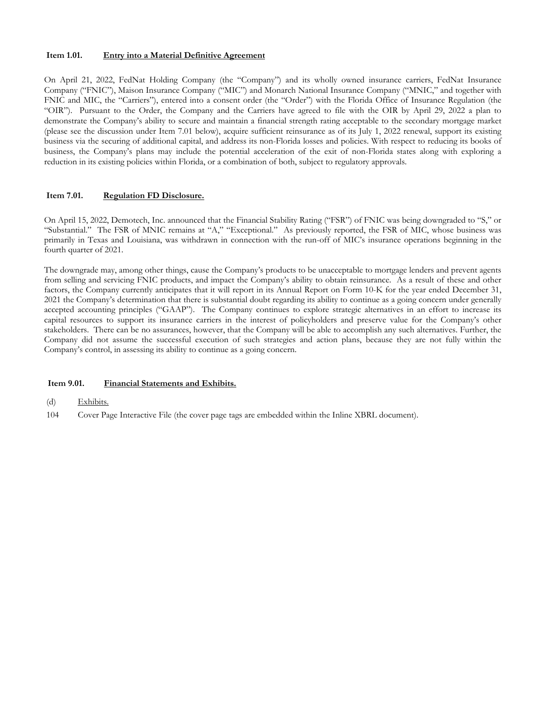#### **Item 1.01. Entry into a Material Definitive Agreement**

On April 21, 2022, FedNat Holding Company (the "Company") and its wholly owned insurance carriers, FedNat Insurance Company ("FNIC"), Maison Insurance Company ("MIC") and Monarch National Insurance Company ("MNIC," and together with FNIC and MIC, the "Carriers"), entered into a consent order (the "Order") with the Florida Office of Insurance Regulation (the "OIR"). Pursuant to the Order, the Company and the Carriers have agreed to file with the OIR by April 29, 2022 a plan to demonstrate the Company's ability to secure and maintain a financial strength rating acceptable to the secondary mortgage market (please see the discussion under Item 7.01 below), acquire sufficient reinsurance as of its July 1, 2022 renewal, support its existing business via the securing of additional capital, and address its non-Florida losses and policies. With respect to reducing its books of business, the Company's plans may include the potential acceleration of the exit of non-Florida states along with exploring a reduction in its existing policies within Florida, or a combination of both, subject to regulatory approvals.

#### **Item 7.01. Regulation FD Disclosure.**

On April 15, 2022, Demotech, Inc. announced that the Financial Stability Rating ("FSR") of FNIC was being downgraded to "S," or "Substantial." The FSR of MNIC remains at "A," "Exceptional." As previously reported, the FSR of MIC, whose business was primarily in Texas and Louisiana, was withdrawn in connection with the run-off of MIC's insurance operations beginning in the fourth quarter of 2021.

The downgrade may, among other things, cause the Company's products to be unacceptable to mortgage lenders and prevent agents from selling and servicing FNIC products, and impact the Company's ability to obtain reinsurance. As a result of these and other factors, the Company currently anticipates that it will report in its Annual Report on Form 10-K for the year ended December 31, 2021 the Company's determination that there is substantial doubt regarding its ability to continue as a going concern under generally accepted accounting principles ("GAAP"). The Company continues to explore strategic alternatives in an effort to increase its capital resources to support its insurance carriers in the interest of policyholders and preserve value for the Company's other stakeholders. There can be no assurances, however, that the Company will be able to accomplish any such alternatives. Further, the Company did not assume the successful execution of such strategies and action plans, because they are not fully within the Company's control, in assessing its ability to continue as a going concern.

#### **Item 9.01. Financial Statements and Exhibits.**

#### (d) Exhibits.

104 Cover Page Interactive File (the cover page tags are embedded within the Inline XBRL document).